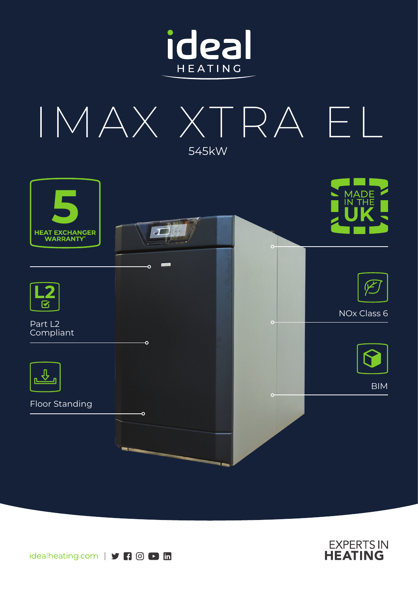







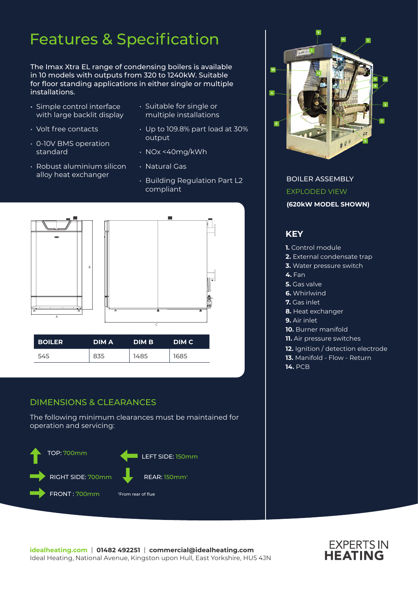# Features & Specification

The Imax Xtra EL range of condensing boilers is available in 10 models with outputs from 320 to 1240kW. Suitable for floor standing applications in either single or multiple installations.

- Simple control interface with large backlit display
- Volt free contacts
- 0-10V BMS operation standard
- Robust aluminium silicon alloy heat exchanger
- Suitable for single or multiple installations
- Up to 109.8% part load at 30% output
- NOx <40mg/kWh
- Natural Gas
- Building Regulation Part L2 compliant



### DIMENSIONS & CLEARANCES

The following minimum clearances must be maintained for operation and servicing:





BOILER ASSEMBLY EXPLODED VIEW **(620kW MODEL SHOWN)**

### **KEY**

- **1.** Control module
- **2.** External condensate trap
- **3.** Water pressure switch
- **4.** Fan
- **5.** Gas valve
- **6.** Whirlwind
- **7.** Gas inlet
- **8.** Heat exchanger
- **9.** Air inlet
- **10.** Burner manifold
- **11.** Air pressure switches
- **12.** Ignition / detection electrode
- **13.** Manifold Flow Return
- **14.** PCB

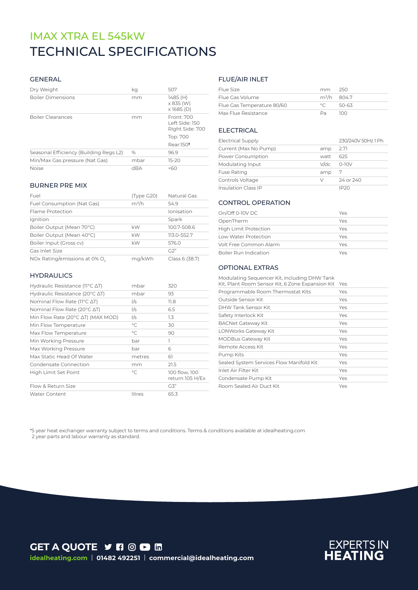# TECHNICAL SPECIFICATIONS IMAX XTRA EL 545kW

#### GENERAL

| Dry Weight                             | kg   | 507                                             |
|----------------------------------------|------|-------------------------------------------------|
| <b>Boiler Dimensions</b>               | mm   | 1485 (H)<br>$\times$ 835 (W)<br>$x$ 1685 (D)    |
| <b>Boiler Clearances</b>               | mm   | Front: 700<br>Left Side: 150<br>Right Side: 700 |
|                                        |      | Top: 700                                        |
|                                        |      | Rear:150 <sup>t</sup>                           |
| Seasonal Efficiency (Building Regs L2) | $\%$ | 96.9                                            |
| Min/Max Gas pressure (Nat Gas)         | mbar | $15 - 20$                                       |
| <b>Noise</b>                           | dBA  | 50 <sub>60</sub>                                |

#### BURNER PRE MIX

| Fuel                                      | (Type G20) | Natural Gas    |
|-------------------------------------------|------------|----------------|
| Fuel Consumption (Nat Gas)                | $m^3/h$    | 549            |
| Flame Protection                          |            | Ionisation     |
| Ignition                                  |            | Spark          |
| Boiler Output (Mean 70°C)                 | kW         | 100.7-508.6    |
| Boiler Output (Mean 40°C)                 | kW         | 113.0-552.7    |
| Boiler Input (Gross cv)                   | kW         | 576.0          |
| Gas Inlet Size                            |            | G2"            |
| NOx Rating/emissions at 0% O <sub>2</sub> | ma/kWh     | Class 6 (38.7) |

#### **HYDRAULICS**

| Hydraulic Resistance (11°C ∆T)                      | mbar        | 320                              |
|-----------------------------------------------------|-------------|----------------------------------|
| Hydraulic Resistance (20 $\degree$ C $\triangle$ T) | mbar        | 93                               |
| Nominal Flow Rate ( $11^{\circ}$ C $\Delta$ T)      | 1/s         | 11.8                             |
| Nominal Flow Rate (20 $\degree$ C $\triangle$ T)    | I/s         | 6.5                              |
| Min Flow Rate (20°C AT) (MAX MOD)                   | 1/s         | 1.3                              |
| Min Flow Temperature                                | $^{\circ}C$ | 30                               |
| Max Flow Temperature                                | $\circ$ C   | 90                               |
| Min Working Pressure                                | bar         | ı                                |
| Max Working Pressure                                | bar         | 6                                |
| Max Static Head Of Water                            | metres      | 61                               |
| Condensate Connection                               | mm          | 21.5                             |
| High Limit Set Point                                | $\circ$ C   | 100 flow, 100<br>return 105 H/Ex |
| Flow & Return Size                                  |             | G3"                              |
| <b>Water Content</b>                                | litres      | 65.3                             |

#### FLUE/AIR INLET

| Flue Size                  | mm 250                  |       |
|----------------------------|-------------------------|-------|
| Flue Gas Volume            | m <sup>3</sup> /h 804.7 |       |
| Flue Gas Temperature 80/60 | $\circ$ $\sim$          | 50-63 |
| Max Flue Resistance        | Da.                     | חרו   |

#### ELECTRICAL

| <b>Electrical Supply</b>   |      | 230/240V 50Hz 1 Ph |
|----------------------------|------|--------------------|
| Current (Max No Pump)      | amp  | 2.71               |
| Power Consumption          | watt | 625                |
| Modulating Input           |      | $V/dc$ 0-10V       |
| <b>Fuse Rating</b>         | amp  | -7                 |
| Controls Voltage           | V    | 24 or 240          |
| <b>Insulation Class IP</b> |      | IP20               |

#### CONTROL OPERATION

| On/Off 0-10V DC              | Yes |
|------------------------------|-----|
| OpenTherm                    | Yes |
| <b>High Limit Protection</b> | Yes |
| Low Water Protection         | Yes |
| Volt Free Common Alarm       | Yes |
| <b>Boiler Run Indication</b> | Ves |

#### OPTIONAL EXTRAS

| Modulating Sequencer Kit, including DHW Tank<br>Kit, Plant Room Sensor Kit, 6 Zone Expansion Kit | Yes |
|--------------------------------------------------------------------------------------------------|-----|
| Programmable Room Thermostat Kits                                                                | Yes |
| Outside Sensor Kit                                                                               | Yes |
| DHW Tank Sensor Kit                                                                              | Yes |
| Safety Interlock Kit                                                                             | Yes |
| <b>BACNet Gateway Kit</b>                                                                        | Yes |
| LONWorks Gateway Kit                                                                             | Yes |
| <b>MODBus Gateway Kit</b>                                                                        | Yes |
| Remote Access Kit                                                                                | Yes |
| Pump Kits                                                                                        | Yes |
| Sealed System Services Flow Manifold Kit                                                         | Yes |
| Inlet Air Filter Kit                                                                             | Yes |
| Condensate Pump Kit                                                                              | Yes |
| Room Sealed Air Duct Kit                                                                         | Yes |

\*5 year heat exchanger warranty subject to terms and conditions. Terms & conditions available at idealheating.com 2 year parts and labour warranty as standard.

**GET A QUOTE Y FI © D in idealheating.com** | **01482 492251** | **commercial@idealheating.com**